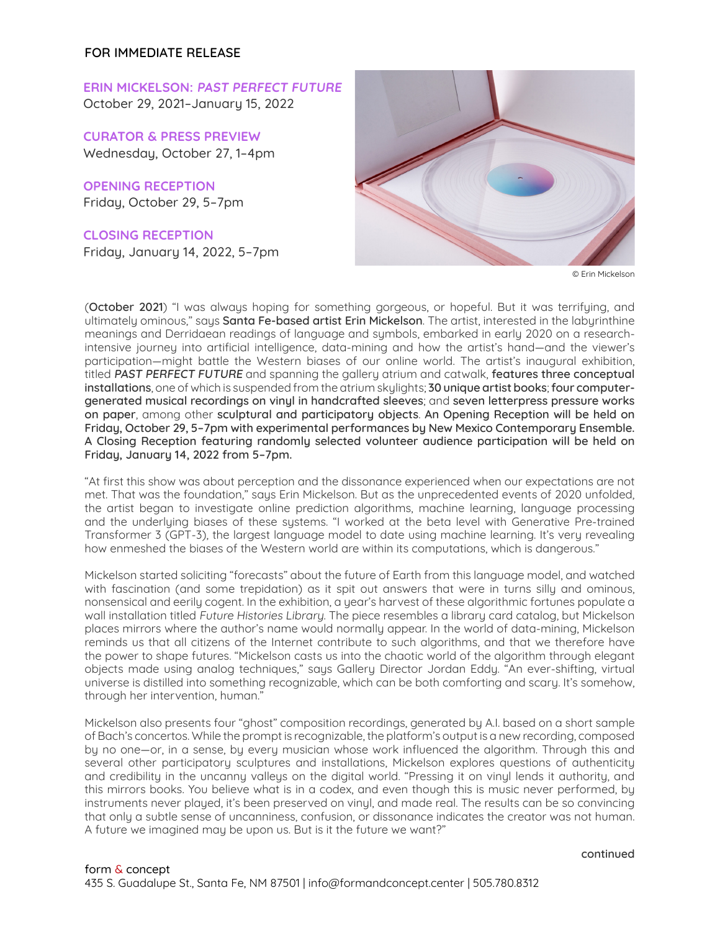ERIN MICKELSON: PAST PERFECT FUTURE October 29, 2021–January 15, 2022

CURATOR & PRESS PREVIEW Wednesday, October 27, 1–4pm

OPENING RECEPTION Friday, October 29, 5–7pm

CLOSING RECEPTION Friday, January 14, 2022, 5–7pm



© Erin Mickelson

(**October 2021**) "I was always hoping for something gorgeous, or hopeful. But it was terrifying, and ultimately ominous," says **Santa Fe-based artist Erin Mickelson**. The artist, interested in the labyrinthine meanings and Derridaean readings of language and symbols, embarked in early 2020 on a researchintensive journeu into artificial intelligence, data-mining and how the artist's hand—and the viewer's participation—might battle the Western biases of our online world. The artist's inaugural exhibition, titled **PAST PERFECT FUTURE** and spanning the gallery atrium and catwalk, **features three conceptual installations**, one of which is suspended from the atrium skylights; **30 unique artist books**; **four computergenerated musical recordings on vinyl in handcrafted sleeves**; and **seven letterpress pressure works on paper**, among other **sculptural and participatory objects**. **An Opening Reception will be held on Friday, October 29, 5–7pm with experimental performances by New Mexico Contemporary Ensemble. A Closing Reception featuring randomly selected volunteer audience participation will be held on Friday, January 14, 2022 from 5–7pm.**

"At first this show was about perception and the dissonance experienced when our expectations are not met. That was the foundation," says Erin Mickelson. But as the unprecedented events of 2020 unfolded, the artist began to investigate online prediction algorithms, machine learning, language processing and the underlying biases of these systems. "I worked at the beta level with Generative Pre-trained Transformer 3 (GPT-3), the largest language model to date using machine learning. It's very revealing how enmeshed the biases of the Western world are within its computations, which is dangerous."

Mickelson started soliciting "forecasts" about the future of Earth from this language model, and watched with fascination (and some trepidation) as it spit out answers that were in turns silly and ominous, nonsensical and eerily cogent. In the exhibition, a year's harvest of these algorithmic fortunes populate a wall installation titled Future Histories Library. The piece resembles a library card catalog, but Mickelson places mirrors where the author's name would normally appear. In the world of data-mining, Mickelson reminds us that all citizens of the Internet contribute to such algorithms, and that we therefore have the power to shape futures. "Mickelson casts us into the chaotic world of the algorithm through elegant objects made using analog techniques," says Gallery Director Jordan Eddy. "An ever-shifting, virtual universe is distilled into something recognizable, which can be both comforting and scary. It's somehow, through her intervention, human."

Mickelson also presents four "ghost" composition recordings, generated by A.I. based on a short sample of Bach's concertos. While the prompt is recognizable, the platform's output is a new recording, composed by no one—or, in a sense, by every musician whose work influenced the algorithm. Through this and several other participatory sculptures and installations, Mickelson explores questions of authenticity and credibility in the uncanny valleys on the digital world. "Pressing it on vinyl lends it authority, and this mirrors books. You believe what is in a codex, and even though this is music never performed, by instruments never played, it's been preserved on vinyl, and made real. The results can be so convincing that only a subtle sense of uncanniness, confusion, or dissonance indicates the creator was not human. A future we imagined may be upon us. But is it the future we want?"

**continued**